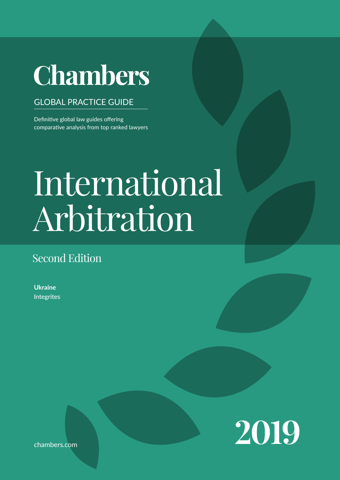# **Chambers**

# GLOBAL PRACTICE GUIDE

Definitive global law guides offering comparative analysis from top ranked lawyers

# Contributed by Integrites  $\Omega$  $\Delta$ legal system when conducting business in the jurisdic-International Law Arbitration

# Second Edition

**Ukraine** Integrites



chambers.com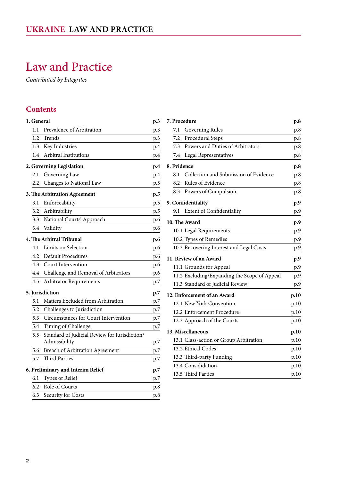# <span id="page-1-0"></span>Law and Practice

*Contributed by Integrites*

# **Contents**

| 1. General      |                                                                | p.3 |
|-----------------|----------------------------------------------------------------|-----|
| 1.1             | Prevalence of Arbitration                                      | p.3 |
| 1.2             | Trends                                                         | p.3 |
| 1.3             | Key Industries                                                 | p.4 |
| 1.4             | Arbitral Institutions                                          | p.4 |
|                 | 2. Governing Legislation                                       | p.4 |
| 2.1             | Governing Law                                                  | p.4 |
| 2.2             | Changes to National Law                                        | p.5 |
|                 | 3. The Arbitration Agreement                                   | p.5 |
| 3.1             | Enforceability                                                 | p.5 |
| 3.2             | Arbitrability                                                  | p.5 |
| 3.3             | National Courts' Approach                                      | p.6 |
| 3.4             | Validity                                                       | p.6 |
|                 | 4. The Arbitral Tribunal                                       | p.6 |
| 4.1             | Limits on Selection                                            | p.6 |
| 4.2             | <b>Default Procedures</b>                                      | p.6 |
| 4.3             | Court Intervention                                             | p.6 |
| 4.4             | Challenge and Removal of Arbitrators                           | p.6 |
| 4.5             | Arbitrator Requirements                                        | p.7 |
| 5. Jurisdiction |                                                                | p.7 |
| 5.1             | Matters Excluded from Arbitration                              | p.7 |
| 5.2             | Challenges to Jurisdiction                                     | p.7 |
| 5.3             | Circumstances for Court Intervention                           | p.7 |
| 5.4             | Timing of Challenge                                            | p.7 |
| 5.5             | Standard of Judicial Review for Jurisdiction/<br>Admissibility | p.7 |
| 5.6             | <b>Breach of Arbitration Agreement</b>                         | p.7 |
| 5.7             | <b>Third Parties</b>                                           | p.7 |
|                 | 6. Preliminary and Interim Relief                              | p.7 |
| 6.1             | Types of Relief                                                | p.7 |
| 6.2             | Role of Courts                                                 | p.8 |
| 6.3             | Security for Costs                                             | p.8 |

| 7. Procedure                |                                              | p.8  |
|-----------------------------|----------------------------------------------|------|
| 7.1                         | Governing Rules                              | p.8  |
| 7.2                         | Procedural Steps                             | p.8  |
| 7.3                         | Powers and Duties of Arbitrators             | p.8  |
| 7.4                         | Legal Representatives                        | p.8  |
| 8. Evidence                 |                                              | p.8  |
| 8.1                         | Collection and Submission of Evidence        | p.8  |
| 8.2                         | Rules of Evidence                            | p.8  |
| 8.3                         | Powers of Compulsion                         | p.8  |
| 9. Confidentiality          |                                              | p.9  |
| 9.1                         | Extent of Confidentiality                    | p.9  |
| 10. The Award               |                                              | p.9  |
|                             | 10.1 Legal Requirements                      | p.9  |
|                             | 10.2 Types of Remedies                       | p.9  |
|                             | 10.3 Recovering Interest and Legal Costs     | p.9  |
|                             | 11. Review of an Award                       | p.9  |
|                             | 11.1 Grounds for Appeal                      | p.9  |
|                             | 11.2 Excluding/Expanding the Scope of Appeal | p.9  |
|                             | 11.3 Standard of Judicial Review             | p.9  |
| 12. Enforcement of an Award |                                              | p.10 |
|                             | 12.1 New York Convention                     | p.10 |
|                             | 12.2 Enforcement Procedure                   | p.10 |
|                             | 12.3 Approach of the Courts                  | p.10 |
| 13. Miscellaneous           |                                              | p.10 |
|                             | 13.1 Class-action or Group Arbitration       | p.10 |
|                             | 13.2 Ethical Codes                           | p.10 |
|                             | 13.3 Third-party Funding                     | p.10 |
|                             | 13.4 Consolidation                           | p.10 |
|                             | 13.5 Third Parties                           | p.10 |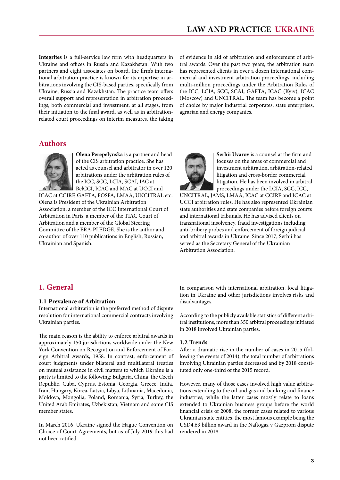<span id="page-2-0"></span>**Integrites** is a full-service law firm with headquarters in Ukraine and offices in Russia and Kazakhstan. With two partners and eight associates on board, the firm's international arbitration practice is known for its expertise in arbitrations involving the CIS-based parties, specifically from Ukraine, Russia and Kazakhstan. The practice team offers overall support and representation in arbitration proceedings, both commercial and investment, at all stages, from their initiation to the final award, as well as in arbitrationrelated court proceedings on interim measures, the taking of evidence in aid of arbitration and enforcement of arbitral awards. Over the past two years, the arbitration team has represented clients in over a dozen international commercial and investment arbitration proceedings, including multi-million proceedings under the Arbitration Rules of the ICC, LCIA, SCC, SCAI, GAFTA, ICAC (Kyiv), ICAC (Moscow) and UNCITRAL. The team has become a point of choice by major industrial corporates, state enterprises, agrarian and energy companies.

### **Authors**



**Olena Perepelynska** is a partner and head of the CIS arbitration practice. She has acted as counsel and arbitrator in over 120 arbitrations under the arbitration rules of the ICC, SCC, LCIA, SCAI, IAC at BelCCI, ICAC and MAC at UCCI and

ICAC at CCIRF, GAFTA, FOSFA, LMAA, UNCITRAL etc. Olena is President of the Ukrainian Arbitration Association, a member of the ICC International Court of Arbitration in Paris, a member of the TIAC Court of Arbitration and a member of the Global Steering Committee of the ERA-PLEDGE. She is the author and co-author of over 110 publications in English, Russian, Ukrainian and Spanish.



**Serhii Uvarov** is a counsel at the firm and focuses on the areas of commercial and investment arbitration, arbitration-related litigation and cross-border commercial litigation. He has been involved in arbitral proceedings under the LCIA, SCC, ICC,

UNCITRAL, JAMS, LMAA, ICAC at CCIRF and ICAC at UCCI arbitration rules. He has also represented Ukrainian state authorities and state companies before foreign courts and international tribunals. He has advised clients on transnational insolvency, fraud investigations including anti-bribery probes and enforcement of foreign judicial and arbitral awards in Ukraine. Since 2017, Serhii has served as the Secretary General of the Ukrainian Arbitration Association.

# **1. General**

#### **1.1 Prevalence of Arbitration**

International arbitration is the preferred method of dispute resolution for international commercial contracts involving Ukrainian parties.

The main reason is the ability to enforce arbitral awards in approximately 150 jurisdictions worldwide under the New York Convention on Recognition and Enforcement of Foreign Arbitral Awards, 1958. In contrast, enforcement of court judgments under bilateral and multilateral treaties on mutual assistance in civil matters to which Ukraine is a party is limited to the following: Bulgaria, China, the Czech Republic, Cuba, Cyprus, Estonia, Georgia, Greece, India, Iran, Hungary, Korea, Latvia, Libya, Lithuania, Macedonia, Moldova, Mongolia, Poland, Romania, Syria, Turkey, the United Arab Emirates, Uzbekistan, Vietnam and some CIS member states.

In March 2016, Ukraine signed the Hague Convention on Choice of Court Agreements, but as of July 2019 this had not been ratified.

In comparison with international arbitration, local litigation in Ukraine and other jurisdictions involves risks and disadvantages.

According to the publicly available statistics of different arbitral institutions, more than 350 arbitral proceedings initiated in 2018 involved Ukrainian parties.

#### **1.2 Trends**

After a dramatic rise in the number of cases in 2015 (following the events of 2014), the total number of arbitrations involving Ukrainian parties decreased and by 2018 constituted only one-third of the 2015 record.

However, many of those cases involved high value arbitrations extending to the oil and gas and banking and finance industries; while the latter cases mostly relate to loans extended to Ukrainian business groups before the world financial crisis of 2008, the former cases related to various Ukrainian state entities, the most famous example being the USD4.63 billion award in the Naftogaz v Gazprom dispute rendered in 2018.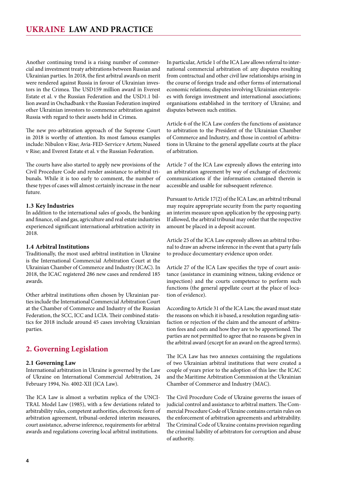<span id="page-3-0"></span>Another continuing trend is a rising number of commercial and investment treaty arbitrations between Russian and Ukrainian parties. In 2018, the first arbitral awards on merit were rendered against Russia in favour of Ukrainian investors in the Crimea. The USD159 million award in Everest Estate et al. v the Russian Federation and the USD1.1 billion award in Oschadbank v the Russian Federation inspired other Ukrainian investors to commence arbitration against Russia with regard to their assets held in Crimea.

The new pro-arbitration approach of the Supreme Court in 2018 is worthy of attention. Its most famous examples include: Nibulon v Rise; Avia-FED-Service v Artem; Nuseed v Rise; and Everest Estate et al. v the Russian Federation.

The courts have also started to apply new provisions of the Civil Procedure Code and render assistance to arbitral tribunals. While it is too early to comment, the number of these types of cases will almost certainly increase in the near future.

#### **1.3 Key Industries**

In addition to the international sales of goods, the banking and finance, oil and gas, agriculture and real estate industries experienced significant international arbitration activity in 2018.

#### **1.4 Arbitral Institutions**

Traditionally, the most used arbitral institution in Ukraine is the International Commercial Arbitration Court at the Ukrainian Chamber of Commerce and Industry (ICAC). In 2018, the ICAC registered 286 new cases and rendered 185 awards.

Other arbitral institutions often chosen by Ukrainian parties include the International Commercial Arbitration Court at the Chamber of Commerce and Industry of the Russian Federation, the SCC, ICC and LCIA. Their combined statistics for 2018 include around 45 cases involving Ukrainian parties.

# **2. Governing Legislation**

#### **2.1 Governing Law**

International arbitration in Ukraine is governed by the Law of Ukraine on International Commercial Arbitration, 24 February 1994, No. 4002-XII (ICA Law).

The ICA Law is almost a verbatim replica of the UNCI-TRAL Model Law (1985), with a few deviations related to arbitrability rules, competent authorities, electronic form of arbitration agreement, tribunal-ordered interim measures, court assistance, adverse inference, requirements for arbitral awards and regulations covering local arbitral institutions.

In particular, Article 1 of the ICA Law allows referral to international commercial arbitration of: any disputes resulting from contractual and other civil law relationships arising in the course of foreign trade and other forms of international economic relations; disputes involving Ukrainian enterprises with foreign investment and international associations; organisations established in the territory of Ukraine; and disputes between such entities.

Article 6 of the ICA Law confers the functions of assistance to arbitration to the President of the Ukrainian Chamber of Commerce and Industry, and those in control of arbitrations in Ukraine to the general appellate courts at the place of arbitration.

Article 7 of the ICA Law expressly allows the entering into an arbitration agreement by way of exchange of electronic communications if the information contained therein is accessible and usable for subsequent reference.

Pursuant to Article 17(2) of the ICA Law, an arbitral tribunal may require appropriate security from the party requesting an interim measure upon application by the opposing party. If allowed, the arbitral tribunal may order that the respective amount be placed in a deposit account.

Article 25 of the ICA Law expressly allows an arbitral tribunal to draw an adverse inference in the event that a party fails to produce documentary evidence upon order.

Article 27 of the ICA Law specifies the type of court assistance (assistance in examining witness, taking evidence or inspection) and the courts competence to perform such functions (the general appellate court at the place of location of evidence).

According to Article 31 of the ICA Law, the award must state the reasons on which it is based, a resolution regarding satisfaction or rejection of the claim and the amount of arbitration fees and costs and how they are to be apportioned. The parties are not permitted to agree that no reasons be given in the arbitral award (except for an award on the agreed terms).

The ICA Law has two annexes containing the regulations of two Ukrainian arbitral institutions that were created a couple of years prior to the adoption of this law: the ICAC and the Maritime Arbitration Commission at the Ukrainian Chamber of Commerce and Industry (MAC).

The Civil Procedure Code of Ukraine governs the issues of judicial control and assistance to arbitral matters. The Commercial Procedure Code of Ukraine contains certain rules on the enforcement of arbitration agreements and arbitrability. The Criminal Code of Ukraine contains provision regarding the criminal liability of arbitrators for corruption and abuse of authority.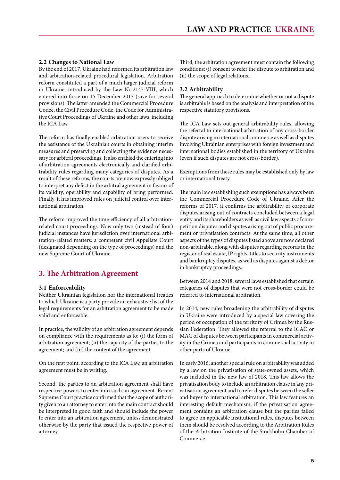#### <span id="page-4-0"></span>**2.2 Changes to National Law**

By the end of 2017, Ukraine had reformed its arbitration law and arbitration-related procedural legislation. Arbitration reform constituted a part of a much larger judicial reform in Ukraine, introduced by the Law No.2147-VIII, which entered into force on 15 December 2017 (save for several provisions). The latter amended the Commercial Procedure Codee, the Civil Procedure Code, the Code for Administrative Court Proceedings of Ukraine and other laws, including the ICA Law.

The reform has finally enabled arbitration users to receive the assistance of the Ukrainian courts in obtaining interim measures and preserving and collecting the evidence necessary for arbitral proceedings. It also enabled the entering into of arbitration agreements electronically and clarified arbitrability rules regarding many categories of disputes. As a result of these reforms, the courts are now expressly obliged to interpret any defect in the arbitral agreement in favour of its validity, operability and capability of bring performed. Finally, it has improved rules on judicial control over international arbitration.

The reform improved the time efficiency of all arbitrationrelated court proceedings. Now only two (instead of four) judicial instances have jurisdiction over international arbitration-related matters: a competent civil Appellate Court (designated depending on the type of proceedings) and the new Supreme Court of Ukraine.

# **3. The Arbitration Agreement**

#### **3.1 Enforceability**

Neither Ukrainian legislation nor the international treaties to which Ukraine is a party provide an exhaustive list of the legal requirements for an arbitration agreement to be made valid and enforceable.

In practice, the validity of an arbitration agreement depends on compliance with the requirements as to: (i) the form of arbitration agreement; (ii) the capacity of the parties to the agreement; and (iii) the content of the agreement.

On the first point, according to the ICA Law, an arbitration agreement must be in writing.

Second, the parties to an arbitration agreement shall have respective powers to enter into such an agreement. Recent Supreme Court practice confirmed that the scope of authority given to an attorney to enter into the main contract should be interpreted in good faith and should include the power to enter into an arbitration agreement, unless demonstrated otherwise by the party that issued the respective power of attorney.

Third, the arbitration agreement must contain the following conditions: (i) consent to refer the dispute to arbitration and (ii) the scope of legal relations.

#### **3.2 Arbitrability**

The general approach to determine whether or not a dispute is arbitrable is based on the analysis and interpretation of the respective statutory provisions.

The ICA Law sets out general arbitrability rules, allowing the referral to international arbitration of any cross-border dispute arising in international commerce as well as disputes involving Ukrainian enterprises with foreign investment and international bodies established in the territory of Ukraine (even if such disputes are not cross-border).

Exemptions from these rules may be established only by law or international treaty.

The main law establishing such exemptions has always been the Commercial Procedure Code of Ukraine. After the reforms of 2017, it confirms the arbitrability of corporate disputes arising out of contracts concluded between a legal entity and its shareholders as well as civil law aspects of competition disputes and disputes arising out of public procurement or privatisation contracts. At the same time, all other aspects of the types of disputes listed above are now declared non-arbitrable, along with disputes regarding records in the register of real estate, IP rights, titles to security instruments and bankruptcy disputes, as well as disputes against a debtor in bankruptcy proceedings.

Between 2014 and 2018, several laws established that certain categories of disputes that were not cross-border could be referred to international arbitration.

In 2014, new rules broadening the arbitrability of disputes in Ukraine were introduced by a special law covering the period of occupation of the territory of Crimea by the Russian Federation. They allowed the referral to the ICAC or MAC of disputes between participants in commercial activity in the Crimea and participants in commercial activity in other parts of Ukraine.

In early 2016, another special rule on arbitrability was added by a law on the privatisation of state-owned assets, which was included in the new law of 2018. This law allows the privatisation body to include an arbitration clause in any privatisation agreement and to refer disputes between the seller and buyer to international arbitration. This law features an interesting default mechanism; if the privatisation agreement contains an arbitration clause but the parties failed to agree on applicable institutional rules, disputes between them should be resolved according to the Arbitration Rules of the Arbitration Institute of the Stockholm Chamber of Commerce.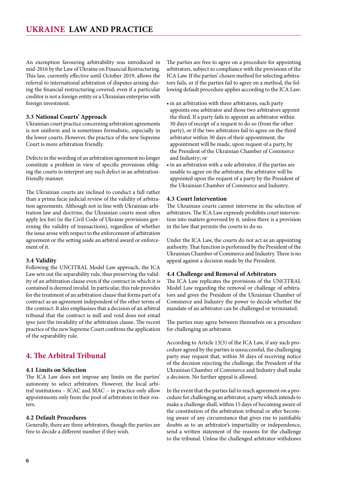<span id="page-5-0"></span>An exemption favouring arbitrability was introduced in mid-2016 by the Law of Ukraine on Financial Restructuring. This law, currently effective until October 2019, allows the referral to international arbitration of disputes arising during the financial restructuring covered, even if a particular creditor is not a foreign entity or a Ukrainian enterprise with foreign investment.

#### **3.3 National Courts' Approach**

Ukrainian court practice concerning arbitration agreements is not uniform and is sometimes formalistic, especially in the lower courts. However, the practice of the new Supreme Court is more arbitration friendly.

Defects in the wording of an arbitration agreement no longer constitute a problem in view of specific provisions obliging the courts to interpret any such defect in an arbitrationfriendly manner.

The Ukrainian courts are inclined to conduct a full rather than a prima facie judicial review of the validity of arbitration agreements. Although not in line with Ukrainian arbitration law and doctrine, the Ukrainian courts most often apply lex fori (ie the Civil Code of Ukraine provisions governing the validity of transactions), regardless of whether the issue arose with respect to the enforcement of arbitration agreement or the setting aside an arbitral award or enforcement of it.

#### **3.4 Validity**

Following the UNCITRAL Model Law approach, the ICA Law sets out the separability rule, thus preserving the validity of an arbitration clause even if the contract in which it is contained is deemed invalid. In particular, this rule provides for the treatment of an arbitration clause that forms part of a contract as an agreement independent of the other terms of the contract. It also emphasises that a decision of an arbitral tribunal that the contract is null and void does not entail ipso jure the invalidity of the arbitration clause. The recent practice of the new Supreme Court confirms the application of the separability rule.

# **4. The Arbitral Tribunal**

#### **4.1 Limits on Selection**

The ICA Law does not impose any limits on the parties' autonomy to select arbitrators. However, the local arbitral institutions – ICAC and MAC – in practice only allow appointments only from the pool of arbitrators in their rosters.

#### **4.2 Default Procedures**

Generally, there are three arbitrators, though the parties are free to decide a different number if they wish.

The parties are free to agree on a procedure for appointing arbitrators, subject to compliance with the provisions of the ICA Law. If the parties' chosen method for selecting arbitrators fails, or if the parties fail to agree on a method, the following default procedure applies according to the ICA Law:

- in an arbitration with three arbitrators, each party appoints one arbitrator and those two arbitrators appoint the third. If a party fails to appoint an arbitrator within 30 days of receipt of a request to do so (from the other party), or if the two arbitrators fail to agree on the third arbitrator within 30 days of their appointment, the appointment will be made, upon request of a party, by the President of the Ukrainian Chamber of Commerce and Industry; or
- in an arbitration with a sole arbitrator, if the parties are unable to agree on the arbitrator, the arbitrator will be appointed upon the request of a party by the President of the Ukrainian Chamber of Commerce and Industry.

#### **4.3 Court Intervention**

The Ukrainian courts cannot intervene in the selection of arbitrators. The ICA Law expressly prohibits court intervention into matters governed by it, unless there is a provision in the law that permits the courts to do so.

Under the ICA Law, the courts do not act as an appointing authority. That function is performed by the President of the Ukrainian Chamber of Commerce and Industry. There is no appeal against a decision made by the President.

#### **4.4 Challenge and Removal of Arbitrators**

The ICA Law replicates the provisions of the UNCITRAL Model Law regarding the removal or challenge of arbitrators and gives the President of the Ukrainian Chamber of Commerce and Industry the power to decide whether the mandate of an arbitrator can be challenged or terminated.

The parties may agree between themselves on a procedure for challenging an arbitrator.

According to Article 13(3) of the ICA Law, if any such procedure agreed by the parties is unsuccessful, the challenging party may request that, within 30 days of receiving notice of the decision rejecting the challenge, the President of the Ukrainian Chamber of Commerce and Industry shall make a decision. No further appeal is allowed.

In the event that the parties fail to reach agreement on a procedure for challenging an arbitrator, a party which intends to make a challenge shall, within 15 days of becoming aware of the constitution of the arbitration tribunal or after becoming aware of any circumstance that gives rise to justifiable doubts as to an arbitrator's impartiality or independence, send a written statement of the reasons for the challenge to the tribunal. Unless the challenged arbitrator withdraws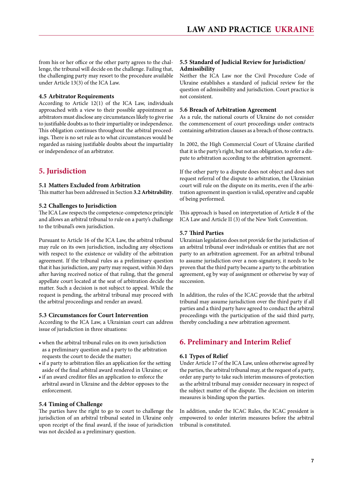<span id="page-6-0"></span>from his or her office or the other party agrees to the challenge, the tribunal will decide on the challenge. Failing that, the challenging party may resort to the procedure available under Article 13(3) of the ICA Law.

#### **4.5 Arbitrator Requirements**

According to Article 12(1) of the ICA Law, individuals approached with a view to their possible appointment as arbitrators must disclose any circumstances likely to give rise to justifiable doubts as to their impartiality or independence. This obligation continues throughout the arbitral proceedings. There is no set rule as to what circumstances would be regarded as raising justifiable doubts about the impartiality or independence of an arbitrator.

# **5. Jurisdiction**

#### **5.1 Matters Excluded from Arbitration**

This matter has been addressed in Section **3.2 Arbitrability**.

#### **5.2 Challenges to Jurisdiction**

The ICA Law respects the competence-competence principle and allows an arbitral tribunal to rule on a party's challenge to the tribunal's own jurisdiction.

Pursuant to Article 16 of the ICA Law, the arbitral tribunal may rule on its own jurisdiction, including any objections with respect to the existence or validity of the arbitration agreement. If the tribunal rules as a preliminary question that it has jurisdiction, any party may request, within 30 days after having received notice of that ruling, that the general appellate court located at the seat of arbitration decide the matter. Such a decision is not subject to appeal. While the request is pending, the arbitral tribunal may proceed with the arbitral proceedings and render an award.

#### **5.3 Circumstances for Court Intervention**

According to the ICA Law, a Ukrainian court can address issue of jurisdiction in three situations:

- • when the arbitral tribunal rules on its own jurisdiction as a preliminary question and a party to the arbitration requests the court to decide the matter;
- if a party to arbitration files an application for the setting aside of the final arbitral award rendered in Ukraine; or
- if an award creditor files an application to enforce the arbitral award in Ukraine and the debtor opposes to the enforcement.

#### **5.4 Timing of Challenge**

The parties have the right to go to court to challenge the jurisdiction of an arbitral tribunal seated in Ukraine only upon receipt of the final award, if the issue of jurisdiction was not decided as a preliminary question.

#### **5.5 Standard of Judicial Review for Jurisdiction/ Admissibility**

Neither the ICA Law nor the Civil Procedure Code of Ukraine establishes a standard of judicial review for the question of admissibility and jurisdiction. Court practice is not consistent.

#### **5.6 Breach of Arbitration Agreement**

As a rule, the national courts of Ukraine do not consider the commencement of court proceedings under contracts containing arbitration clauses as a breach of those contracts.

In 2002, the High Commercial Court of Ukraine clarified that it is the party's right, but not an obligation, to refer a dispute to arbitration according to the arbitration agreement.

If the other party to a dispute does not object and does not request referral of the dispute to arbitration, the Ukrainian court will rule on the dispute on its merits, even if the arbitration agreement in question is valid, operative and capable of being performed.

This approach is based on interpretation of Article 8 of the ICA Law and Article II (3) of the New York Convention.

#### **5.7 Third Parties**

Ukrainian legislation does not provide for the jurisdiction of an arbitral tribunal over individuals or entities that are not party to an arbitration agreement. For an arbitral tribunal to assume jurisdiction over a non-signatory, it needs to be proven that the third party became a party to the arbitration agreement, eg by way of assignment or otherwise by way of succession.

In addition, the rules of the ICAC provide that the arbitral tribunal may assume jurisdiction over the third party if all parties and a third party have agreed to conduct the arbitral proceedings with the participation of the said third party, thereby concluding a new arbitration agreement.

# **6. Preliminary and Interim Relief**

#### **6.1 Types of Relief**

Under Article 17 of the ICA Law, unless otherwise agreed by the parties, the arbitral tribunal may, at the request of a party, order any party to take such interim measures of protection as the arbitral tribunal may consider necessary in respect of the subject matter of the dispute. The decision on interim measures is binding upon the parties.

In addition, under the ICAC Rules, the ICAC president is empowered to order interim measures before the arbitral tribunal is constituted.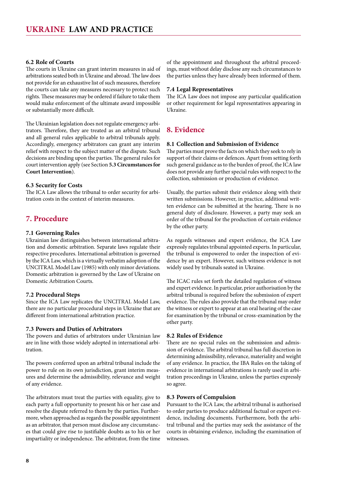#### <span id="page-7-0"></span>**6.2 Role of Courts**

The courts in Ukraine can grant interim measures in aid of arbitrations seated both in Ukraine and abroad. The law does not provide for an exhaustive list of such measures, therefore the courts can take any measures necessary to protect such rights. These measures may be ordered if failure to take them would make enforcement of the ultimate award impossible or substantially more difficult.

The Ukrainian legislation does not regulate emergency arbitrators. Therefore, they are treated as an arbitral tribunal and all general rules applicable to arbitral tribunals apply. Accordingly, emergency arbitrators can grant any interim relief with respect to the subject matter of the dispute. Such decisions are binding upon the parties. The general rules for court intervention apply (see Section **5.3 Circumstances for Court Intervention**).

#### **6.3 Security for Costs**

The ICA Law allows the tribunal to order security for arbitration costs in the context of interim measures.

## **7. Procedure**

#### **7.1 Governing Rules**

Ukrainian law distinguishes between international arbitration and domestic arbitration. Separate laws regulate their respective procedures. International arbitration is governed by the ICA Law, which is a virtually verbatim adoption of the UNCITRAL Model Law (1985) with only minor deviations. Domestic arbitration is governed by the Law of Ukraine on Domestic Arbitration Courts.

#### **7.2 Procedural Steps**

Since the ICA Law replicates the UNCITRAL Model Law, there are no particular procedural steps in Ukraine that are different from international arbitration practice.

#### **7.3 Powers and Duties of Arbitrators**

The powers and duties of arbitrators under Ukrainian law are in line with those widely adopted in international arbitration.

The powers conferred upon an arbitral tribunal include the power to rule on its own jurisdiction, grant interim measures and determine the admissibility, relevance and weight of any evidence.

The arbitrators must treat the parties with equality, give to each party a full opportunity to present his or her case and resolve the dispute referred to them by the parties. Furthermore, when approached as regards the possible appointment as an arbitrator, that person must disclose any circumstances that could give rise to justifiable doubts as to his or her impartiality or independence. The arbitrator, from the time

of the appointment and throughout the arbitral proceedings, must without delay disclose any such circumstances to the parties unless they have already been informed of them.

#### **7.4 Legal Representatives**

The ICA Law does not impose any particular qualification or other requirement for legal representatives appearing in Ukraine.

#### **8. Evidence**

#### **8.1 Collection and Submission of Evidence**

The parties must prove the facts on which they seek to rely in support of their claims or defences. Apart from setting forth such general guidance as to the burden of proof, the ICA law does not provide any further special rules with respect to the collection, submission or production of evidence.

Usually, the parties submit their evidence along with their written submissions. However, in practice, additional written evidence can be submitted at the hearing. There is no general duty of disclosure. However, a party may seek an order of the tribunal for the production of certain evidence by the other party.

As regards witnesses and expert evidence, the ICA Law expressly regulates tribunal appointed experts. In particular, the tribunal is empowered to order the inspection of evidence by an expert. However, such witness evidence is not widely used by tribunals seated in Ukraine.

The ICAC rules set forth the detailed regulation of witness and expert evidence. In particular, prior authorisation by the arbitral tribunal is required before the submission of expert evidence. The rules also provide that the tribunal may order the witness or expert to appear at an oral hearing of the case for examination by the tribunal or cross-examination by the other party.

#### **8.2 Rules of Evidence**

There are no special rules on the submission and admission of evidence. The arbitral tribunal has full discretion in determining admissibility, relevance, materiality and weight of any evidence. In practice, the IBA Rules on the taking of evidence in international arbitrations is rarely used in arbitration proceedings in Ukraine, unless the parties expressly so agree.

#### **8.3 Powers of Compulsion**

Pursuant to the ICA Law, the arbitral tribunal is authorised to order parties to produce additional factual or expert evidence, including documents. Furthermore, both the arbitral tribunal and the parties may seek the assistance of the courts in obtaining evidence, including the examination of witnesses.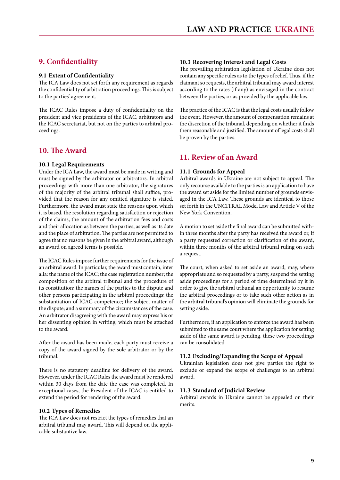# <span id="page-8-0"></span>**9. Confidentiality**

#### **9.1 Extent of Confidentiality**

The ICA Law does not set forth any requirement as regards the confidentiality of arbitration proceedings. This is subject to the parties' agreement.

The ICAC Rules impose a duty of confidentiality on the president and vice presidents of the ICAC, arbitrators and the ICAC secretariat, but not on the parties to arbitral proceedings.

## **10. The Award**

#### **10.1 Legal Requirements**

Under the ICA Law, the award must be made in writing and must be signed by the arbitrator or arbitrators. In arbitral proceedings with more than one arbitrator, the signatures of the majority of the arbitral tribunal shall suffice, provided that the reason for any omitted signature is stated. Furthermore, the award must state the reasons upon which it is based, the resolution regarding satisfaction or rejection of the claims, the amount of the arbitration fees and costs and their allocation as between the parties, as well as its date and the place of arbitration. The parties are not permitted to agree that no reasons be given in the arbitral award, although an award on agreed terms is possible.

The ICAC Rules impose further requirements for the issue of an arbitral award. In particular, the award must contain, inter alia: the name of the ICAC; the case registration number; the composition of the arbitral tribunal and the procedure of its constitution; the names of the parties to the dispute and other persons participating in the arbitral proceedings; the substantiation of ICAC competence; the subject matter of the dispute; and a summary of the circumstances of the case. An arbitrator disagreeing with the award may express his or her dissenting opinion in writing, which must be attached to the award.

After the award has been made, each party must receive a copy of the award signed by the sole arbitrator or by the tribunal.

There is no statutory deadline for delivery of the award. However, under the ICAC Rules the award must be rendered within 30 days from the date the case was completed. In exceptional cases, the President of the ICAC is entitled to extend the period for rendering of the award.

#### **10.2 Types of Remedies**

The ICA Law does not restrict the types of remedies that an arbitral tribunal may award. This will depend on the applicable substantive law.

#### **10.3 Recovering Interest and Legal Costs**

The prevailing arbitration legislation of Ukraine does not contain any specific rules as to the types of relief. Thus, if the claimant so requests, the arbitral tribunal may award interest according to the rates (if any) as envisaged in the contract between the parties, or as provided by the applicable law.

The practice of the ICAC is that the legal costs usually follow the event. However, the amount of compensation remains at the discretion of the tribunal, depending on whether it finds them reasonable and justified. The amount of legal costs shall be proven by the parties.

## **11. Review of an Award**

#### **11.1 Grounds for Appeal**

Arbitral awards in Ukraine are not subject to appeal. The only recourse available to the parties is an application to have the award set aside for the limited number of grounds envisaged in the ICA Law. These grounds are identical to those set forth in the UNCITRAL Model Law and Article V of the New York Convention.

A motion to set aside the final award can be submitted within three months after the party has received the award or, if a party requested correction or clarification of the award, within three months of the arbitral tribunal ruling on such a request.

The court, when asked to set aside an award, may, where appropriate and so requested by a party, suspend the setting aside proceedings for a period of time determined by it in order to give the arbitral tribunal an opportunity to resume the arbitral proceedings or to take such other action as in the arbitral tribunal's opinion will eliminate the grounds for setting aside.

Furthermore, if an application to enforce the award has been submitted to the same court where the application for setting aside of the same award is pending, these two proceedings can be consolidated.

#### **11.2 Excluding/Expanding the Scope of Appeal**

Ukrainian legislation does not give parties the right to exclude or expand the scope of challenges to an arbitral award.

#### **11.3 Standard of Judicial Review**

Arbitral awards in Ukraine cannot be appealed on their merits.